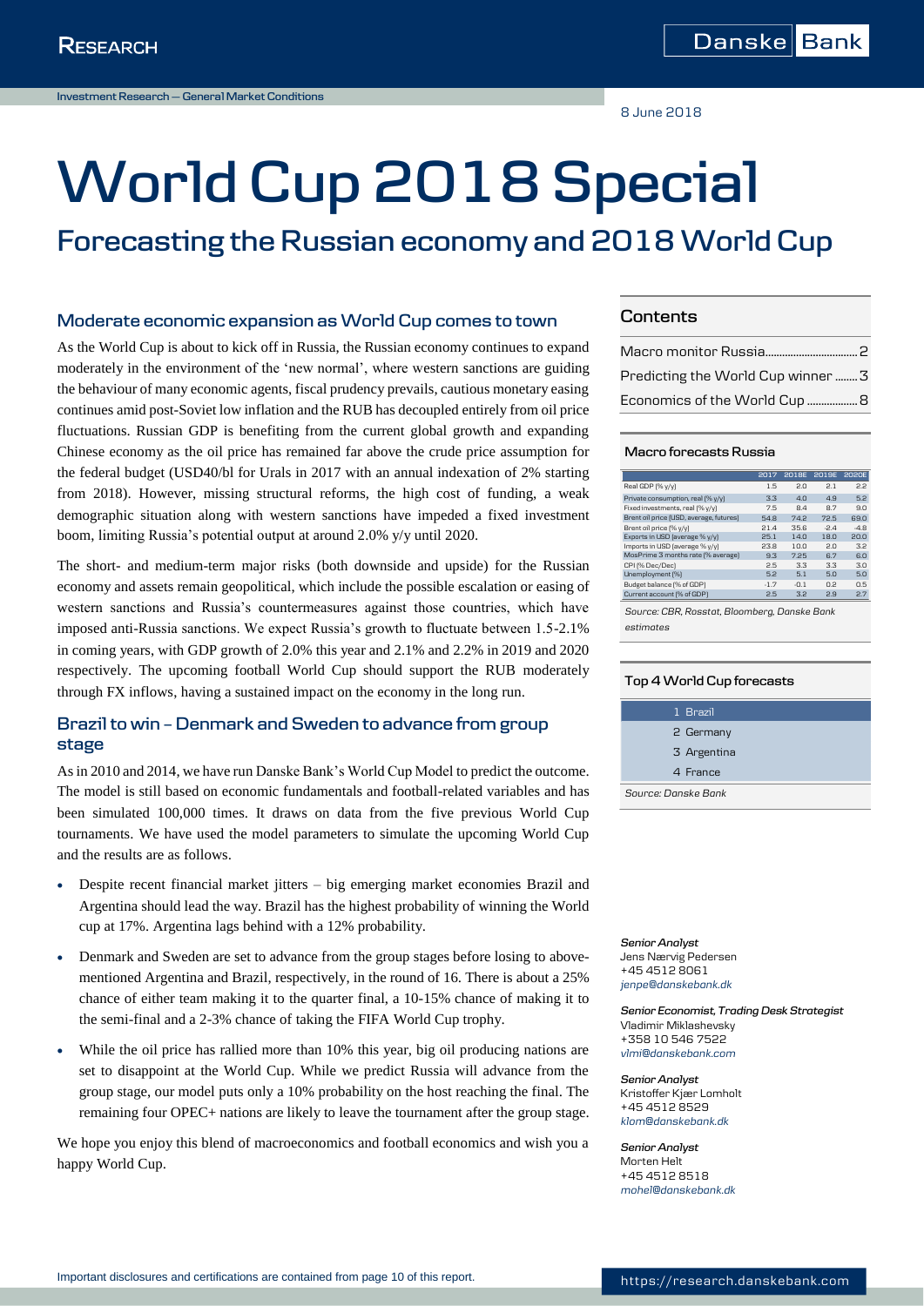8 June 2018

# **World Cup 2018 Special**

# **Forecasting the Russian economy and 2018 World Cup**

### **Moderate economic expansion as World Cup comes to town**

As the World Cup is about to kick off in Russia, the Russian economy continues to expand moderately in the environment of the 'new normal', where western sanctions are guiding the behaviour of many economic agents, fiscal prudency prevails, cautious monetary easing continues amid post-Soviet low inflation and the RUB has decoupled entirely from oil price fluctuations. Russian GDP is benefiting from the current global growth and expanding Chinese economy as the oil price has remained far above the crude price assumption for the federal budget (USD40/bl for Urals in 2017 with an annual indexation of 2% starting from 2018). However, missing structural reforms, the high cost of funding, a weak demographic situation along with western sanctions have impeded a fixed investment boom, limiting Russia's potential output at around 2.0% y/y until 2020.

The short- and medium-term major risks (both downside and upside) for the Russian economy and assets remain geopolitical, which include the possible escalation or easing of western sanctions and Russia's countermeasures against those countries, which have imposed anti-Russia sanctions. We expect Russia's growth to fluctuate between 1.5-2.1% in coming years, with GDP growth of 2.0% this year and 2.1% and 2.2% in 2019 and 2020 respectively. The upcoming football World Cup should support the RUB moderately through FX inflows, having a sustained impact on the economy in the long run.

## **Brazil to win – Denmark and Sweden to advance from group stage**

As in 2010 and 2014, we have run Danske Bank's World Cup Model to predict the outcome. The model is still based on economic fundamentals and football-related variables and has been simulated 100,000 times. It draws on data from the five previous World Cup tournaments. We have used the model parameters to simulate the upcoming World Cup and the results are as follows.

- Despite recent financial market jitters big emerging market economies Brazil and Argentina should lead the way. Brazil has the highest probability of winning the World cup at 17%. Argentina lags behind with a 12% probability.
- Denmark and Sweden are set to advance from the group stages before losing to abovementioned Argentina and Brazil, respectively, in the round of 16. There is about a 25% chance of either team making it to the quarter final, a 10-15% chance of making it to the semi-final and a 2-3% chance of taking the FIFA World Cup trophy.
- While the oil price has rallied more than 10% this year, big oil producing nations are set to disappoint at the World Cup. While we predict Russia will advance from the group stage, our model puts only a 10% probability on the host reaching the final. The remaining four OPEC+ nations are likely to leave the tournament after the group stage.

We hope you enjoy this blend of macroeconomics and football economics and wish you a happy World Cup.

### **Contents**

| Predicting the World Cup winner  3 |  |
|------------------------------------|--|
|                                    |  |

#### **Macro forecasts Russia**

|                                         | 2017   | <b>2018F</b> | <b>2019E</b> | <b>2020E</b> |
|-----------------------------------------|--------|--------------|--------------|--------------|
| Real GDP [% y/y]                        | 1.5    | 2.0          | 2.1          | 2.2          |
| Private consumption, real [% y/y]       | 3.3    | 4.0          | 4.9          | 5.2          |
| Fixed investments, real [% y/y]         | 7.5    | 8.4          | 87           | 9.0          |
| Brent oil price (USD, average, futures) | 54.8   | 74.2         | 72.5         | 69.0         |
| Brent oil price [% y/y]                 | 21.4   | 35.6         | $-24$        | $-4.8$       |
| Exports in USD (average % y/y)          | 25.1   | 14.0         | 18.0         | 20.0         |
| Imports in USD (average % y/y)          | 23.8   | 10.0         | 20           | 32           |
| MosPrime 3 months rate [% average]      | 93     | 7.25         | 6.7          | 6.0          |
| CPI [% Dec/Dec]                         | 2.5    | 33           | 3.3          | 3.0          |
| Unemployment [%]                        | 5.2    | 5.1          | 50           | 5.0          |
| Budget balance [% of GDP]               | $-1.7$ | $-0.1$       | 0.2          | 0.5          |
| Current account [% of GDP]              | 2.5    | 3.2          | 2.9          | 2.7          |

*Source: CBR, Rosstat, Bloomberg, Danske Bank estimates*

#### **Top 4 World Cup forecasts**

|                     | 1 Brazil    |
|---------------------|-------------|
|                     | 2 Germany   |
|                     | 3 Argentina |
|                     | 4 France    |
| Source: Danske Bank |             |

*Senior Analyst* Jens Nærvig Pedersen +45 4512 8061 *[jenpe@danskebank.dk](mailto:jenpe@danskebank.dk)*

*Senior Economist, Trading Desk Strategist* Vladimir Miklashevsky +358 10 546 7522 *[vlmi@danskebank.com](mailto:vlmi@danskebank.com)*

*Senior Analyst* Kristoffer Kjær Lomholt +45 4512 8529 *[klom@danskebank.dk](mailto:klom@danskebank.dk)*

*Senior Analyst* Morten Helt +45 4512 8518 *[mohel@danskebank.dk](mailto:mohel@danskebank.dk)*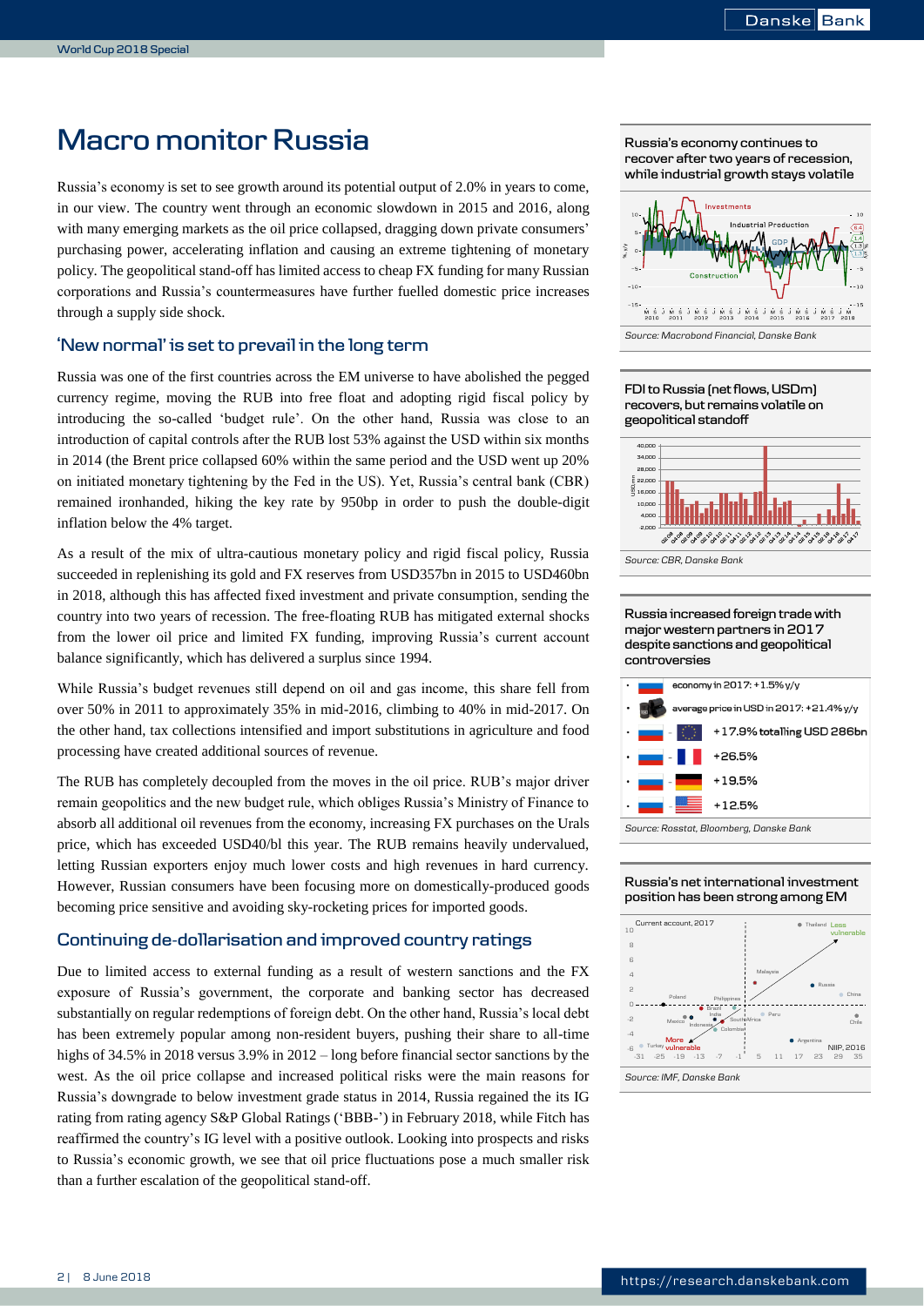# <span id="page-1-0"></span>**Macro monitor Russia**

Russia's economy is set to see growth around its potential output of 2.0% in years to come, in our view. The country went through an economic slowdown in 2015 and 2016, along with many emerging markets as the oil price collapsed, dragging down private consumers' purchasing power, accelerating inflation and causing an extreme tightening of monetary policy. The geopolitical stand-off has limited access to cheap FX funding for many Russian corporations and Russia's countermeasures have further fuelled domestic price increases through a supply side shock.

### **'New normal' is set to prevail in the long term**

Russia was one of the first countries across the EM universe to have abolished the pegged currency regime, moving the RUB into free float and adopting rigid fiscal policy by introducing the so-called 'budget rule'. On the other hand, Russia was close to an introduction of capital controls after the RUB lost 53% against the USD within six months in 2014 (the Brent price collapsed 60% within the same period and the USD went up 20% on initiated monetary tightening by the Fed in the US). Yet, Russia's central bank (CBR) remained ironhanded, hiking the key rate by 950bp in order to push the double-digit inflation below the 4% target.

As a result of the mix of ultra-cautious monetary policy and rigid fiscal policy, Russia succeeded in replenishing its gold and FX reserves from USD357bn in 2015 to USD460bn in 2018, although this has affected fixed investment and private consumption, sending the country into two years of recession. The free-floating RUB has mitigated external shocks from the lower oil price and limited FX funding, improving Russia's current account balance significantly, which has delivered a surplus since 1994.

While Russia's budget revenues still depend on oil and gas income, this share fell from over 50% in 2011 to approximately 35% in mid-2016, climbing to 40% in mid-2017. On the other hand, tax collections intensified and import substitutions in agriculture and food processing have created additional sources of revenue.

The RUB has completely decoupled from the moves in the oil price. RUB's major driver remain geopolitics and the new budget rule, which obliges Russia's Ministry of Finance to absorb all additional oil revenues from the economy, increasing FX purchases on the Urals price, which has exceeded USD40/bl this year. The RUB remains heavily undervalued, letting Russian exporters enjoy much lower costs and high revenues in hard currency. However, Russian consumers have been focusing more on domestically-produced goods becoming price sensitive and avoiding sky-rocketing prices for imported goods.

### **Continuing de-dollarisation and improved country ratings**

Due to limited access to external funding as a result of western sanctions and the FX exposure of Russia's government, the corporate and banking sector has decreased substantially on regular redemptions of foreign debt. On the other hand, Russia's local debt has been extremely popular among non-resident buyers, pushing their share to all-time highs of 34.5% in 2018 versus 3.9% in 2012 – long before financial sector sanctions by the west. As the oil price collapse and increased political risks were the main reasons for Russia's downgrade to below investment grade status in 2014, Russia regained the its IG rating from rating agency S&P Global Ratings ('BBB-') in February 2018, while Fitch has reaffirmed the country's IG level with a positive outlook. Looking into prospects and risks to Russia's economic growth, we see that oil price fluctuations pose a much smaller risk than a further escalation of the geopolitical stand-off.

**Russia's economy continues to recover after two years of recession, while industrial growth stays volatile**













### **Russia's net international investment position has been strong among EM**



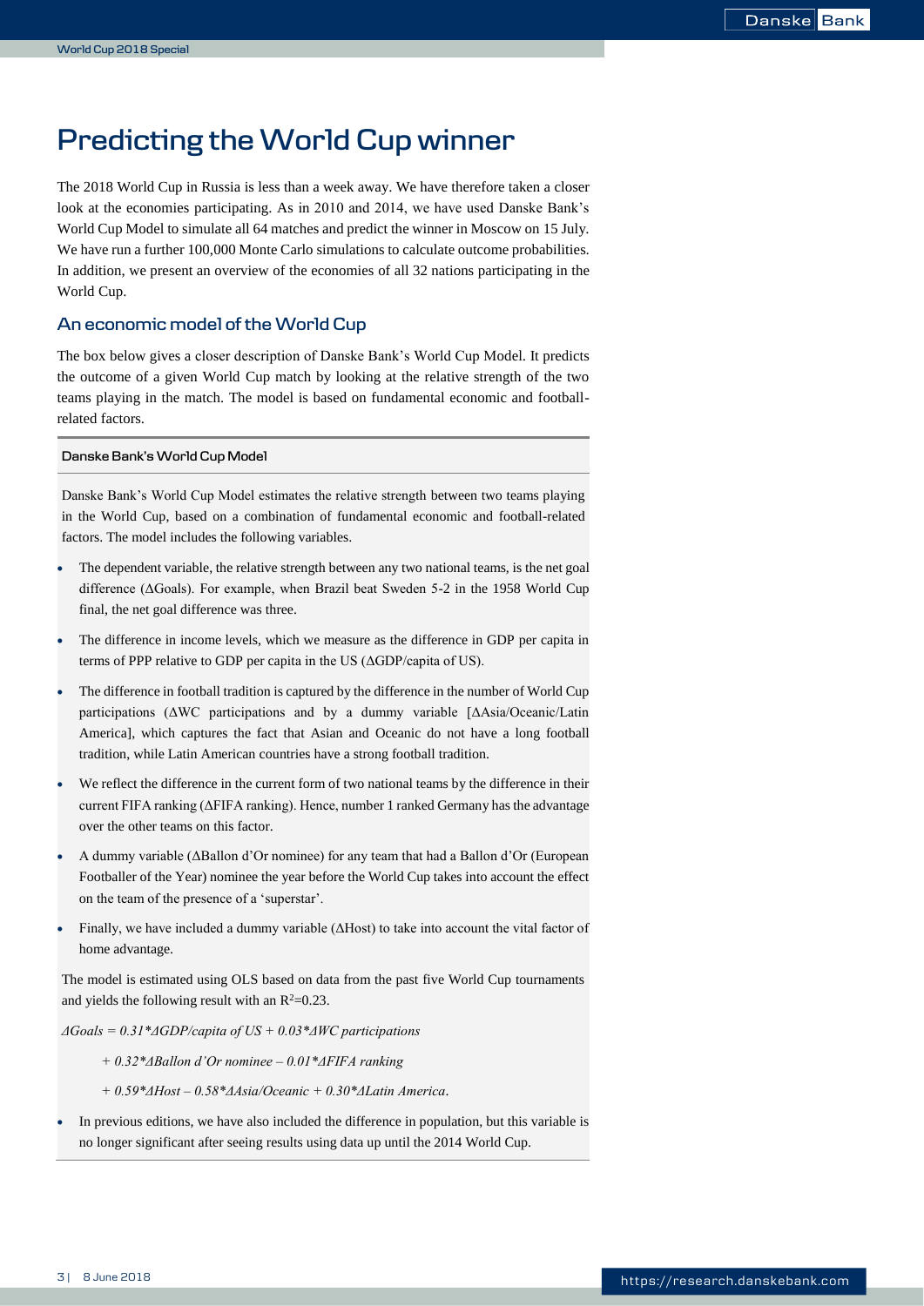# <span id="page-2-0"></span>**Predicting the World Cup winner**

The 2018 World Cup in Russia is less than a week away. We have therefore taken a closer look at the economies participating. As in 2010 and 2014, we have used Danske Bank's World Cup Model to simulate all 64 matches and predict the winner in Moscow on 15 July. We have run a further 100,000 Monte Carlo simulations to calculate outcome probabilities. In addition, we present an overview of the economies of all 32 nations participating in the World Cup.

### **An economic model of the World Cup**

The box below gives a closer description of Danske Bank's World Cup Model. It predicts the outcome of a given World Cup match by looking at the relative strength of the two teams playing in the match. The model is based on fundamental economic and footballrelated factors.

#### **Danske Bank's World Cup Model**

Danske Bank's World Cup Model estimates the relative strength between two teams playing in the World Cup, based on a combination of fundamental economic and football-related factors. The model includes the following variables.

- The dependent variable, the relative strength between any two national teams, is the net goal difference (ΔGoals). For example, when Brazil beat Sweden 5-2 in the 1958 World Cup final, the net goal difference was three.
- The difference in income levels, which we measure as the difference in GDP per capita in terms of PPP relative to GDP per capita in the US (ΔGDP/capita of US).
- The difference in football tradition is captured by the difference in the number of World Cup participations (ΔWC participations and by a dummy variable [ΔAsia/Oceanic/Latin America], which captures the fact that Asian and Oceanic do not have a long football tradition, while Latin American countries have a strong football tradition.
- We reflect the difference in the current form of two national teams by the difference in their current FIFA ranking (ΔFIFA ranking). Hence, number 1 ranked Germany has the advantage over the other teams on this factor.
- A dummy variable (ΔBallon d'Or nominee) for any team that had a Ballon d'Or (European Footballer of the Year) nominee the year before the World Cup takes into account the effect on the team of the presence of a 'superstar'.
- Finally, we have included a dummy variable (ΔHost) to take into account the vital factor of home advantage.

The model is estimated using OLS based on data from the past five World Cup tournaments and yields the following result with an  $R^2=0.23$ .

*ΔGoals = 0.31\*ΔGDP/capita of US + 0.03\*ΔWC participations*

*+ 0.32\*ΔBallon d'Or nominee – 0.01\*ΔFIFA ranking*

*+ 0.59\*ΔHost – 0.58\*ΔAsia/Oceanic + 0.30\*ΔLatin America*.

 In previous editions, we have also included the difference in population, but this variable is no longer significant after seeing results using data up until the 2014 World Cup.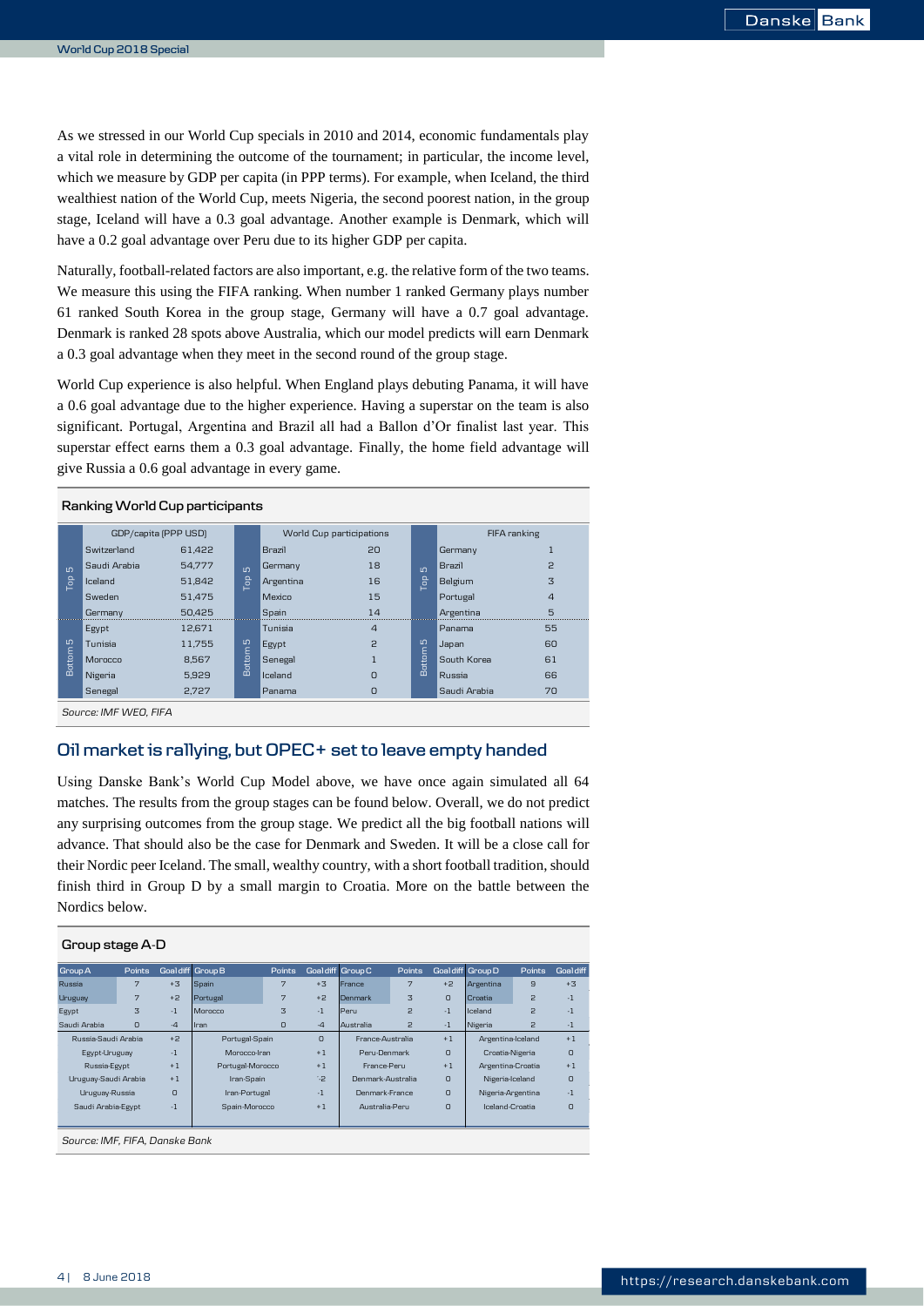As we stressed in our World Cup specials in 2010 and 2014, economic fundamentals play a vital role in determining the outcome of the tournament; in particular, the income level, which we measure by GDP per capita (in PPP terms). For example, when Iceland, the third wealthiest nation of the World Cup, meets Nigeria, the second poorest nation, in the group stage, Iceland will have a 0.3 goal advantage. Another example is Denmark, which will have a 0.2 goal advantage over Peru due to its higher GDP per capita.

Naturally, football-related factors are also important, e.g. the relative form of the two teams. We measure this using the FIFA ranking. When number 1 ranked Germany plays number 61 ranked South Korea in the group stage, Germany will have a 0.7 goal advantage. Denmark is ranked 28 spots above Australia, which our model predicts will earn Denmark a 0.3 goal advantage when they meet in the second round of the group stage.

World Cup experience is also helpful. When England plays debuting Panama, it will have a 0.6 goal advantage due to the higher experience. Having a superstar on the team is also significant. Portugal, Argentina and Brazil all had a Ballon d'Or finalist last year. This superstar effect earns them a 0.3 goal advantage. Finally, the home field advantage will give Russia a 0.6 goal advantage in every game.

|                     | Ranking World Cup participants |        |                 |               |                          |                 |               |                |  |  |  |
|---------------------|--------------------------------|--------|-----------------|---------------|--------------------------|-----------------|---------------|----------------|--|--|--|
|                     | GDP/capita (PPP USD)           |        |                 |               | World Cup participations |                 |               | FIFA ranking   |  |  |  |
|                     | Switzerland                    | 61.422 |                 | <b>Brazil</b> | 20                       |                 | Germany       | $\overline{1}$ |  |  |  |
| LO <sub>1</sub>     | Saudi Arabia                   | 54.777 | $\overline{10}$ | Germany       | 18                       | $\overline{10}$ | <b>Brazil</b> | P              |  |  |  |
| <b>P</b>            | Iceland                        | 51.842 | <b>B</b>        | Argentina     | 16                       | Гор             | Belgium       | 3              |  |  |  |
|                     | Sweden                         | 51.475 |                 | Mexico        | 15                       |                 | Portugal      | $\overline{4}$ |  |  |  |
|                     | Germany                        | 50.425 |                 | Spain         | 14                       |                 | Argentina     | 5              |  |  |  |
|                     | Egypt                          | 12.671 |                 | Tunisia       | 4                        |                 | Panama        | 55             |  |  |  |
|                     | Tunisia                        | 11.755 | m               | <b>Egypt</b>  | P                        | S               | Japan         | 60             |  |  |  |
| Bottom <sub>5</sub> | Morocco                        | 8.567  | Bottom          | Senegal       |                          | Bottom          | South Korea   | 61             |  |  |  |
|                     | Nigeria                        | 5.929  |                 | Iceland       | $\Omega$                 |                 | Russia        | 66             |  |  |  |
|                     | Senegal                        | 2,727  |                 | Panama        | 0                        |                 | Saudi Arabia  | 70             |  |  |  |
|                     | Source: IMF WEO, FIFA          |        |                 |               |                          |                 |               |                |  |  |  |

### **Oil market is rallying, but OPEC+ set to leave empty handed**

Using Danske Bank's World Cup Model above, we have once again simulated all 64 matches. The results from the group stages can be found below. Overall, we do not predict any surprising outcomes from the group stage. We predict all the big football nations will advance. That should also be the case for Denmark and Sweden. It will be a close call for their Nordic peer Iceland. The small, wealthy country, with a short football tradition, should finish third in Group D by a small margin to Croatia. More on the battle between the Nordics below.

| Group stage A-D             |                                             |          |                  |                            |                          |                   |                 |                   |                   |              |                  |  |
|-----------------------------|---------------------------------------------|----------|------------------|----------------------------|--------------------------|-------------------|-----------------|-------------------|-------------------|--------------|------------------|--|
| Group A                     | Points                                      |          | Goaldiff Group B | Points                     |                          | Goal diff Group C | Points          |                   | Goal diff Group D | Points       | <b>Goal diff</b> |  |
| Russia                      | 7                                           | $+3.3$   | Spain            | 7                          | $+3$                     | France            | 7               | $+2$              | Argentina         | $\mathbf{a}$ | $+3$             |  |
| Uruguay                     | 7                                           | $+2$     | Portugal         | 7                          | $+2$                     | <b>Denmark</b>    | 3               | $\Omega$          | Croatia           | 2            | $-1$             |  |
| Egypt                       | 3                                           | $-1$     | Morocco          | 3                          | $-1$                     | Peru              | $\mathsf{P}$    | $-1$              | Iceland           | 2            | $-1$             |  |
| Saudi Arabia                | $\Omega$                                    | $-4$     | Iran             | 0                          | $-4$                     | Australia         | $\mathcal{P}$   | $-1$              | Nigeria           | 2            | $-1$             |  |
| Russia-Saudi Arabia<br>$+2$ |                                             |          | Portugal-Spain   |                            | France-Australia         |                   | $+1$            | Argentina-Iceland |                   | $+1$         |                  |  |
|                             | $-1$<br>Morocco-Iran<br>Egypt-Uruguay       |          |                  | $+1$                       | $\Omega$<br>Peru-Denmark |                   | Croatia-Nigeria |                   | $\circ$           |              |                  |  |
| Russia-Egypt                |                                             | $+1$     | Portugal-Morocco |                            | $+1$                     |                   | France-Peru     |                   | Argentina-Croatia |              | $+1$             |  |
| Uruguay-Saudi Arabia        |                                             | $+1$     | Iran-Spain       |                            | م:                       | Denmark-Australia |                 | $\Omega$          | Nigeria-Iceland   |              | $\circ$          |  |
| Uruguay-Russia              |                                             | $\Omega$ | Iran-Portugal    |                            | $-1$                     | Denmark-France    |                 | $\Omega$          | Nigeria-Argentina |              | $-1$             |  |
|                             | $-1$<br>Saudi Arabia-Egypt<br>Spain-Morocco |          | $+1$             | $\Omega$<br>Australia-Peru |                          |                   | Iceland-Croatia |                   | $\circ$           |              |                  |  |
|                             |                                             |          |                  |                            |                          |                   |                 |                   |                   |              |                  |  |
|                             | Source: IMF, FIFA, Danske Bank              |          |                  |                            |                          |                   |                 |                   |                   |              |                  |  |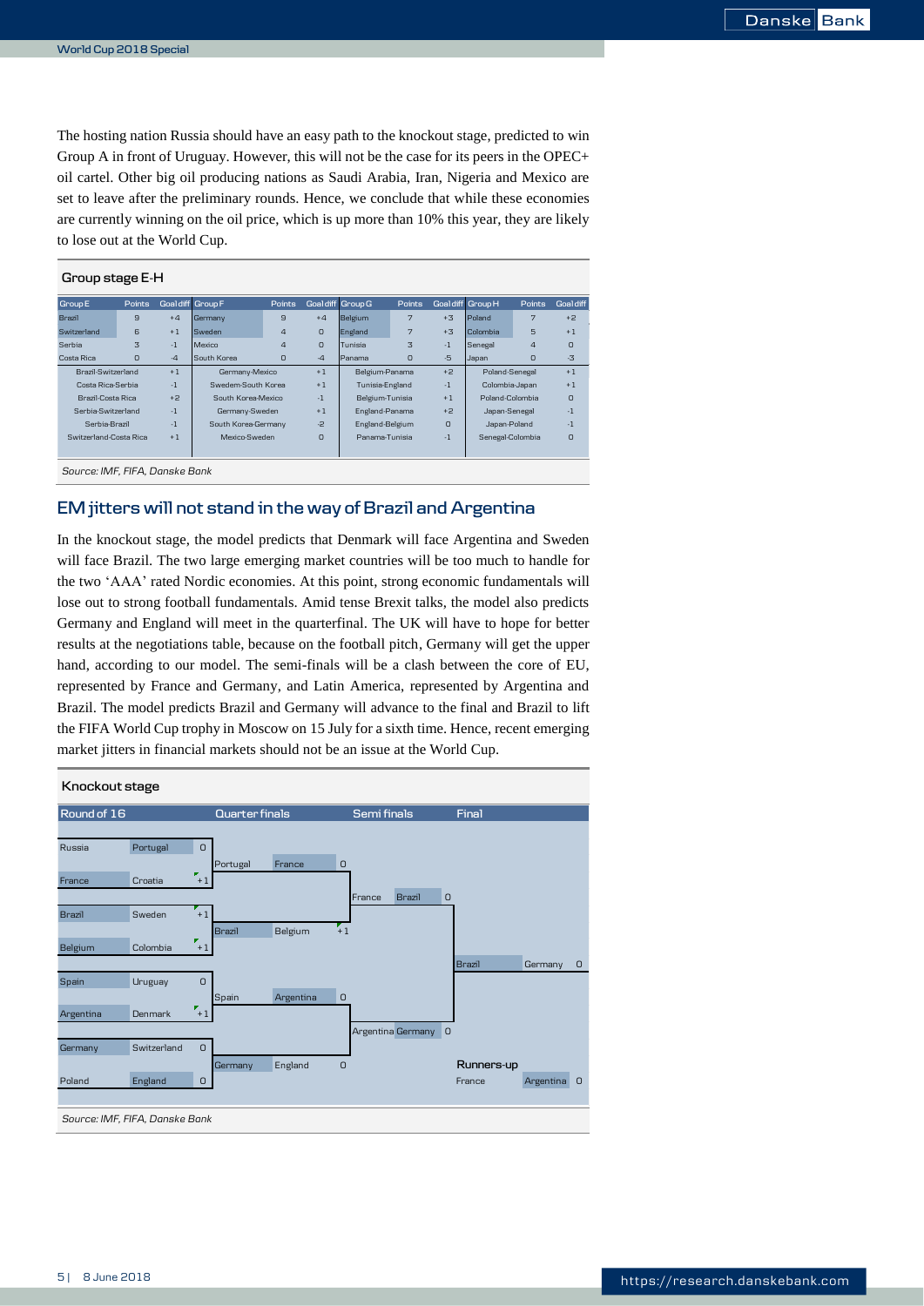The hosting nation Russia should have an easy path to the knockout stage, predicted to win Group A in front of Uruguay. However, this will not be the case for its peers in the OPEC+ oil cartel. Other big oil producing nations as Saudi Arabia, Iran, Nigeria and Mexico are set to leave after the preliminary rounds. Hence, we conclude that while these economies are currently winning on the oil price, which is up more than 10% this year, they are likely to lose out at the World Cup.

| Group stage E-H                |              |                  |                     |                |          |                   |         |          |                   |                |           |  |
|--------------------------------|--------------|------------------|---------------------|----------------|----------|-------------------|---------|----------|-------------------|----------------|-----------|--|
| <b>Group E</b>                 | Points       | Goaldiff Group F |                     | Points         |          | Goal diff Group G | Points  |          | Goal diff Group H | Points         | Goal diff |  |
| Brazil                         | $\mathbf{a}$ | $+4$             | Germany             | $\mathbf{a}$   | $+4$     | Belgium           | 7       | $+3.3$   | Poland            | 7              | $+2$      |  |
| Switzerland                    | 6            | $+1$             | Sweden              | $\overline{a}$ | $\Omega$ | England           | 7       | $+3.3$   | Colombia          | 5              | $+1$      |  |
| Serbia                         | 3            | $-1$             | Mexico              | $\overline{a}$ | $\Omega$ | Tunisia           | 3       | $-1$     | Senegal           | $\overline{a}$ | O         |  |
| Costa Rica                     | $\circ$      | $-4$             | South Korea         | O              | $-4$     | Panama            | $\circ$ | $-5$     | Japan             | O              | $-3$      |  |
| Brazil-Switzerland             |              | $+1$             | Germany-Mexico      |                | $+1$     | Belgium-Panama    |         | $+2$     | Poland-Senegal    |                | $+1$      |  |
| Costa Rica-Serbia              |              | $-1$             | Swedem-South Korea  |                | $+1$     | Tunisia-England   |         | $-1$     | Colombia-Japan    |                | $+1$      |  |
| Brazil-Costa Rica              |              | $+2$             | South Korea-Mexico  |                | $-1$     | Belgium-Tunisia   |         | $+1$     | Poland-Colombia   |                | O         |  |
| Serbia-Switzerland             |              | $-1$             | Germany-Sweden      |                | $+1$     | England-Panama    |         | $+2$     | Japan-Senegal     |                | -1        |  |
| Serbia-Brazil                  |              | $-1$             | South Korea-Germany |                | $-2$     | England-Belgium   |         | $\Omega$ | Japan-Poland      |                | $-1$      |  |
| Switzerland-Costa Rica         |              | $+1$             | Mexico-Sweden       |                | $\Omega$ | Panama-Tunisia    |         | $-1$     | Senegal-Colombia  |                | O         |  |
|                                |              |                  |                     |                |          |                   |         |          |                   |                |           |  |
| Source: IMF, FIFA, Danske Bank |              |                  |                     |                |          |                   |         |          |                   |                |           |  |

## **EM jitters will not stand in the way of Brazil and Argentina**

In the knockout stage, the model predicts that Denmark will face Argentina and Sweden will face Brazil. The two large emerging market countries will be too much to handle for the two 'AAA' rated Nordic economies. At this point, strong economic fundamentals will lose out to strong football fundamentals. Amid tense Brexit talks, the model also predicts Germany and England will meet in the quarterfinal. The UK will have to hope for better results at the negotiations table, because on the football pitch, Germany will get the upper hand, according to our model. The semi-finals will be a clash between the core of EU, represented by France and Germany, and Latin America, represented by Argentina and Brazil. The model predicts Brazil and Germany will advance to the final and Brazil to lift the FIFA World Cup trophy in Moscow on 15 July for a sixth time. Hence, recent emerging market jitters in financial markets should not be an issue at the World Cup.

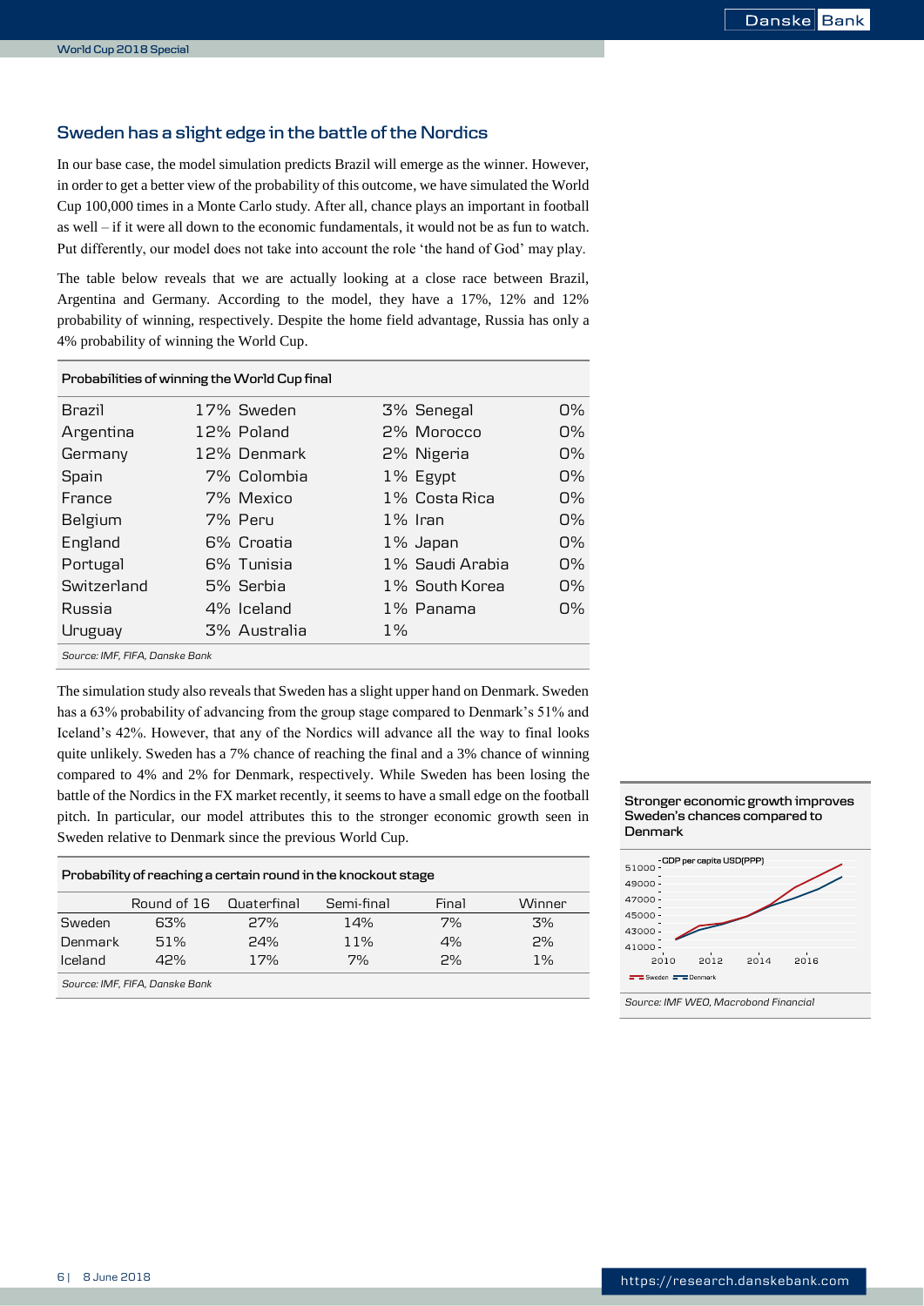### **Sweden has a slight edge in the battle of the Nordics**

In our base case, the model simulation predicts Brazil will emerge as the winner. However, in order to get a better view of the probability of this outcome, we have simulated the World Cup 100,000 times in a Monte Carlo study. After all, chance plays an important in football as well – if it were all down to the economic fundamentals, it would not be as fun to watch. Put differently, our model does not take into account the role 'the hand of God' may play.

The table below reveals that we are actually looking at a close race between Brazil, Argentina and Germany. According to the model, they have a 17%, 12% and 12% probability of winning, respectively. Despite the home field advantage, Russia has only a 4% probability of winning the World Cup.

|                                | Probabilities of winning the World Cup final |              |       |                 |            |  |  |  |  |  |  |  |
|--------------------------------|----------------------------------------------|--------------|-------|-----------------|------------|--|--|--|--|--|--|--|
| <b>Brazil</b>                  |                                              | 17% Sweden   |       | 3% Senegal      | $\Omega\%$ |  |  |  |  |  |  |  |
| Argentina                      |                                              | 12% Poland   |       | 2% Morocco      | $\Omega\%$ |  |  |  |  |  |  |  |
| Germany                        |                                              | 12% Denmark  |       | 2% Nigeria      | በ%         |  |  |  |  |  |  |  |
| Spain                          |                                              | 7% Colombia  |       | 1% Egypt        | በ%         |  |  |  |  |  |  |  |
| France                         |                                              | 7% Mexico    |       | 1% Costa Rica   | 0%         |  |  |  |  |  |  |  |
| Belgium                        |                                              | 7% Peru      |       | 1% Iran         | $\Omega\%$ |  |  |  |  |  |  |  |
| England                        |                                              | 6% Croatia   |       | 1% Japan        | $\Omega\%$ |  |  |  |  |  |  |  |
| Portugal                       |                                              | 6% Tunisia   |       | 1% Saudi Arabia | $\Omega\%$ |  |  |  |  |  |  |  |
| Switzerland                    |                                              | 5% Serbia    |       | 1% South Korea  | $\Omega\%$ |  |  |  |  |  |  |  |
| Russia                         |                                              | 4% Iceland   |       | 1% Panama       | $\Omega\%$ |  |  |  |  |  |  |  |
| Uruguay                        |                                              | 3% Australia | $1\%$ |                 |            |  |  |  |  |  |  |  |
| Source: IMF, FIFA, Danske Bank |                                              |              |       |                 |            |  |  |  |  |  |  |  |

The simulation study also reveals that Sweden has a slight upper hand on Denmark. Sweden has a 63% probability of advancing from the group stage compared to Denmark's 51% and Iceland's 42%. However, that any of the Nordics will advance all the way to final looks quite unlikely. Sweden has a 7% chance of reaching the final and a 3% chance of winning compared to 4% and 2% for Denmark, respectively. While Sweden has been losing the battle of the Nordics in the FX market recently, it seems to have a small edge on the football pitch. In particular, our model attributes this to the stronger economic growth seen in Sweden relative to Denmark since the previous World Cup.

|         | Probability of reaching a certain round in the knockout stage |     |            |       |        |  |  |  |  |  |  |  |
|---------|---------------------------------------------------------------|-----|------------|-------|--------|--|--|--|--|--|--|--|
|         | Round of 16 Quaterfinal                                       |     | Semi-final | Final | Winner |  |  |  |  |  |  |  |
| Sweden  | 63%                                                           | 27% | 14%        | 7%    | 3%     |  |  |  |  |  |  |  |
| Denmark | 51%                                                           | 74% | 11%        | 4%    | 2%     |  |  |  |  |  |  |  |
| lceland | 42%                                                           | 17% | 7%         | 2%    | 1%     |  |  |  |  |  |  |  |
|         | Source: IMF, FIFA, Danske Bank                                |     |            |       |        |  |  |  |  |  |  |  |



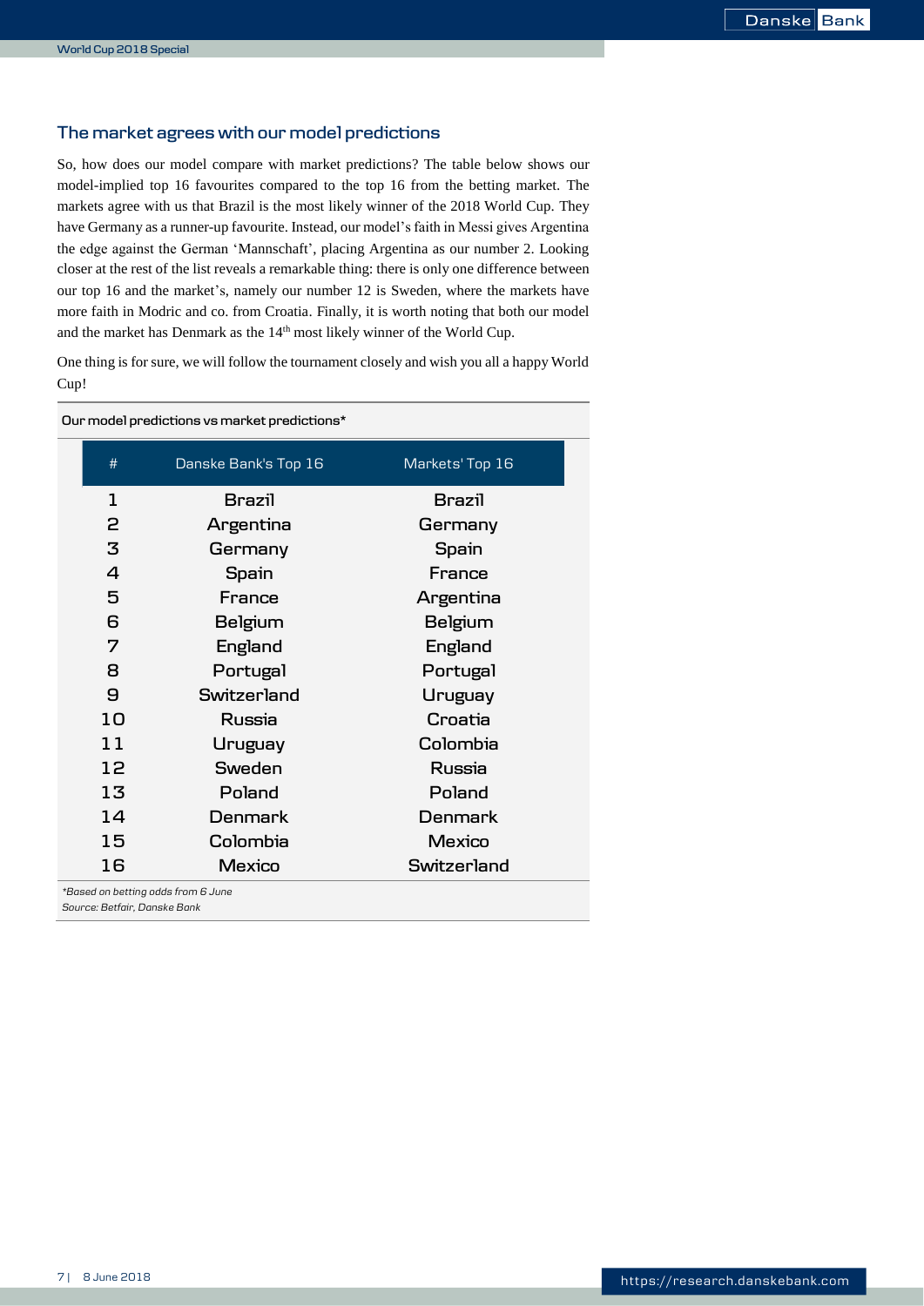### **The market agrees with our model predictions**

So, how does our model compare with market predictions? The table below shows our model-implied top 16 favourites compared to the top 16 from the betting market. The markets agree with us that Brazil is the most likely winner of the 2018 World Cup. They have Germany as a runner-up favourite. Instead, our model's faith in Messi gives Argentina the edge against the German 'Mannschaft', placing Argentina as our number 2. Looking closer at the rest of the list reveals a remarkable thing: there is only one difference between our top 16 and the market's, namely our number 12 is Sweden, where the markets have more faith in Modric and co. from Croatia. Finally, it is worth noting that both our model and the market has Denmark as the 14<sup>th</sup> most likely winner of the World Cup.

One thing is for sure, we will follow the tournament closely and wish you all a happy World Cup!

|                       | Our model predictions vs market predictions*                       |                 |  |  |  |  |  |  |  |  |
|-----------------------|--------------------------------------------------------------------|-----------------|--|--|--|--|--|--|--|--|
| #                     | Danske Bank's Top 16                                               | Markets' Top 16 |  |  |  |  |  |  |  |  |
| 1                     | Brazil                                                             | Brazil          |  |  |  |  |  |  |  |  |
| 2                     | Argentina                                                          | Germany         |  |  |  |  |  |  |  |  |
| 3                     | Germany                                                            | Spain           |  |  |  |  |  |  |  |  |
| $\overline{4}$        | Spain                                                              | France          |  |  |  |  |  |  |  |  |
| 5                     | France                                                             | Argentina       |  |  |  |  |  |  |  |  |
| 6                     | Belgium                                                            | Belgium         |  |  |  |  |  |  |  |  |
| 7                     | England                                                            | England         |  |  |  |  |  |  |  |  |
| 8                     | Portugal                                                           | Portugal        |  |  |  |  |  |  |  |  |
| $\boldsymbol{\Theta}$ | Switzerland                                                        | Uruguay         |  |  |  |  |  |  |  |  |
| 10                    | Russia                                                             | Croatia         |  |  |  |  |  |  |  |  |
| 11                    | Uruguay                                                            | Colombia        |  |  |  |  |  |  |  |  |
| 12                    | Sweden                                                             | Russia          |  |  |  |  |  |  |  |  |
| 13                    | Poland                                                             | Poland          |  |  |  |  |  |  |  |  |
| 14                    | Denmark                                                            | Denmark         |  |  |  |  |  |  |  |  |
| 15                    | Colombia                                                           | Mexico          |  |  |  |  |  |  |  |  |
| 16                    | Mexico                                                             | Switzerland     |  |  |  |  |  |  |  |  |
|                       | *Based on betting odds from 6 June<br>Source: Betfair, Danske Bank |                 |  |  |  |  |  |  |  |  |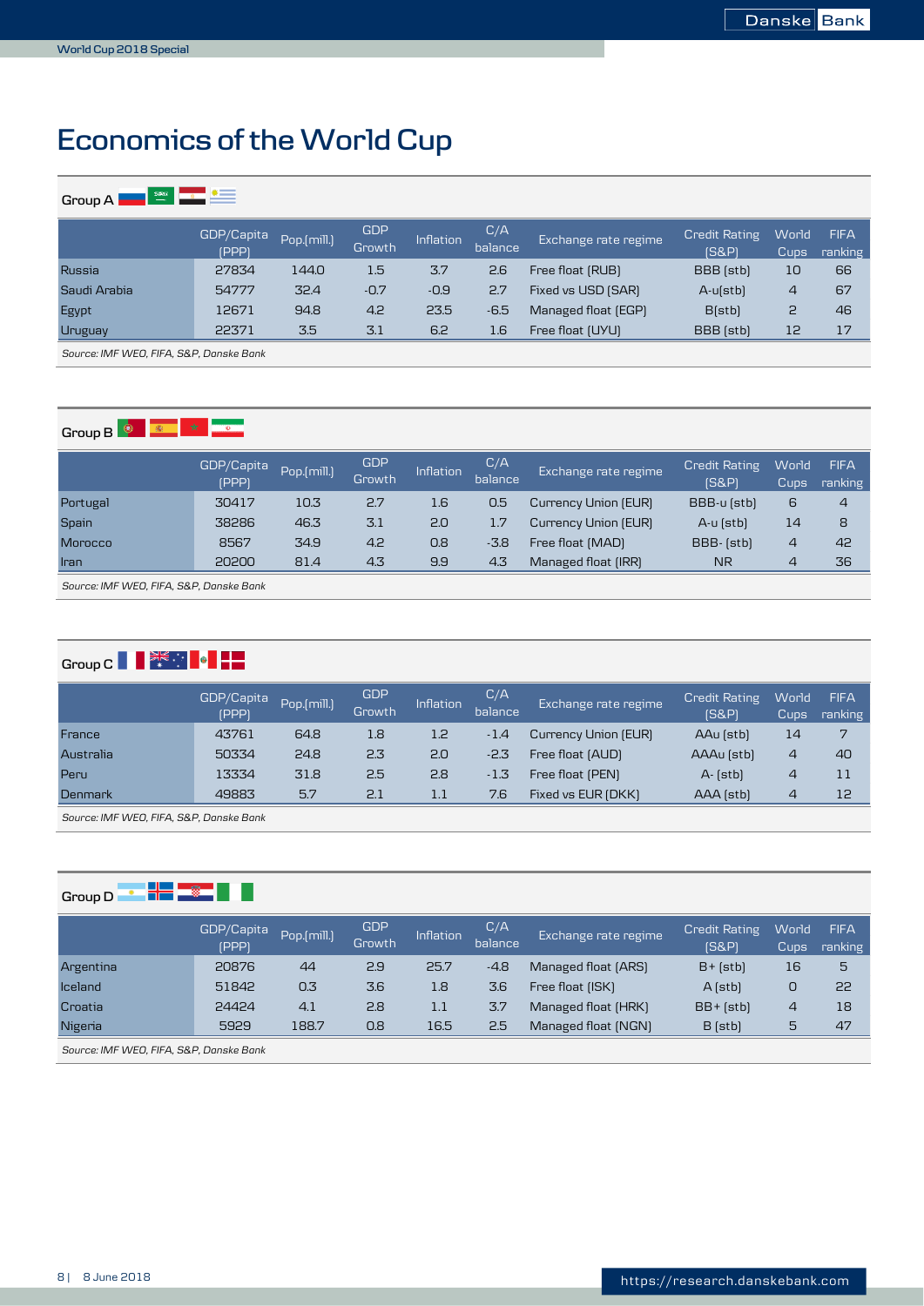# <span id="page-7-0"></span>**Economics of the World Cup**

| $\frac{2.586}{\alpha}$<br>GroupA | $\bullet =$                |             |                      |           |                |                      |                               |                |                        |  |  |  |  |
|----------------------------------|----------------------------|-------------|----------------------|-----------|----------------|----------------------|-------------------------------|----------------|------------------------|--|--|--|--|
|                                  | GDP/Capita<br><b>(PPP)</b> | Pop.(mill.) | <b>GDP</b><br>Growth | Inflation | C/A<br>balance | Exchange rate regime | <b>Credit Rating</b><br>[S&P] | World<br>Cups  | <b>FIFA</b><br>ranking |  |  |  |  |
| Russia                           | 27834                      | 144.0       | 1.5                  | 3.7       | 2.6            | Free float (RUB)     | BBB (stb)                     | 10             | 66                     |  |  |  |  |
| Saudi Arabia                     | 54777                      | 32.4        | $-0.7$               | $-0.9$    | 2.7            | Fixed vs USD (SAR)   | $A - u(stb)$                  | $\overline{4}$ | 67                     |  |  |  |  |
| Egypt                            | 12671                      | 94.8        | 4.2                  | 23.5      | $-6.5$         | Managed float (EGP)  | B(stb)                        | 2              | 46                     |  |  |  |  |
| Uruguay                          | 22371                      | 3.5         | 3.1                  | 6.2       | 1.6            | Free float (UYU)     | BBB (stb)                     | 12             | 17                     |  |  |  |  |
|                                  |                            |             |                      |           |                |                      |                               |                |                        |  |  |  |  |

*Source: IMF WEO, FIFA, S&P, Danske Bank*

# **Group B**  $\frac{1}{2}$  **B**  $\frac{1}{2}$  **C**  $\frac{1}{2}$  **C**  $\frac{1}{2}$

|                | GDP/Capita<br><b>(PPP)</b> | Pop.(mill.) | <b>GDP</b><br>Growth | Inflation | C/A<br>balance | Exchange rate regime | <b>Credit Rating</b><br><b>IS&amp;PI</b> | World<br>Cups  | <b>FIFA</b><br>ranking |
|----------------|----------------------------|-------------|----------------------|-----------|----------------|----------------------|------------------------------------------|----------------|------------------------|
| Portugal       | 30417                      | 10.3        | 2.7                  | 1.6       | 0.5            | Currency Union (EUR) | BBB-u (stb)                              | 6              | $\overline{4}$         |
| Spain          | 38286                      | 46.3        | 3.1                  | 2.0       | 1.7            | Currency Union (EUR) | A-u (stb)                                | 14             | 8                      |
| <b>Morocco</b> | 8567                       | 34.9        | 4.2                  | 0.8       | $-3.8$         | Free float (MAD)     | BBB- (stb)                               | $\overline{4}$ | 42                     |
| <b>Iran</b>    | 20200                      | 81.4        | 4.3                  | 9.9       | 4.3            | Managed float (IRR)  | <b>NR</b>                                | 4              | 36                     |

*Source: IMF WEO, FIFA, S&P, Danske Bank*

# **Group C R**  $\frac{2\pi}{3}$  **P P**

|           | GDP/Capita<br><b>(PPP)</b> | Pop.(mill.) | <b>GDP</b><br>Growth | Inflation | C/A<br>balance | Exchange rate regime | <b>Credit Rating</b><br>[S&P] | World<br>Cups  | <b>FIFA</b><br>ranking |
|-----------|----------------------------|-------------|----------------------|-----------|----------------|----------------------|-------------------------------|----------------|------------------------|
| France    | 43761                      | 64.8        | 1.8                  | 1.2       | $-1.4$         | Currency Union (EUR) | AAu (stb)                     | 14             | 7                      |
| Australia | 50334                      | 24.8        | 2.3                  | 2.0       | $-2.3$         | Free float (AUD)     | AAAu (stb)                    | 4              | 40                     |
| Peru      | 13334                      | 31.8        | 2.5                  | 2.8       | $-1.3$         | Free float (PEN)     | $A - [stb]$                   | $\overline{4}$ | 11                     |
| Denmark   | 49883                      | 5.7         | 2.1                  | 1.1       | 7.6            | Fixed vs EUR (DKK)   | AAA (stb)                     | 4              | 12                     |

*Source: IMF WEO, FIFA, S&P, Danske Bank*

# **Group D D H H B E H**

|           | GDP/Capita<br><b>(PPP)</b> | Pop.(mill.) | <b>GDP</b><br>Growth | Inflation | C/A<br>balance | Exchange rate regime | <b>Credit Rating</b><br>[S&P] | World<br>Cups, | <b>FIFA</b><br>ranking |
|-----------|----------------------------|-------------|----------------------|-----------|----------------|----------------------|-------------------------------|----------------|------------------------|
| Argentina | 20876                      | 44          | 2.9                  | 25.7      | $-4.8$         | Managed float (ARS)  | $B + [stb]$                   | 16             | 5                      |
| Iceland   | 51842                      | 0.3         | 3.6                  | 1.8       | 3.6            | Free float (ISK)     | $A$ (stb)                     | 0              | 22                     |
| Croatia   | 24424                      | 4.1         | 2.8                  | $1.1\,$   | 3.7            | Managed float (HRK)  | $BB + [stb]$                  | $\overline{4}$ | 18                     |
| Nigeria   | 5929                       | 188.7       | 0.8                  | 16.5      | 2.5            | Managed float (NGN)  | $B$ (stb)                     | 5              | 47                     |

*Source: IMF WEO, FIFA, S&P, Danske Bank*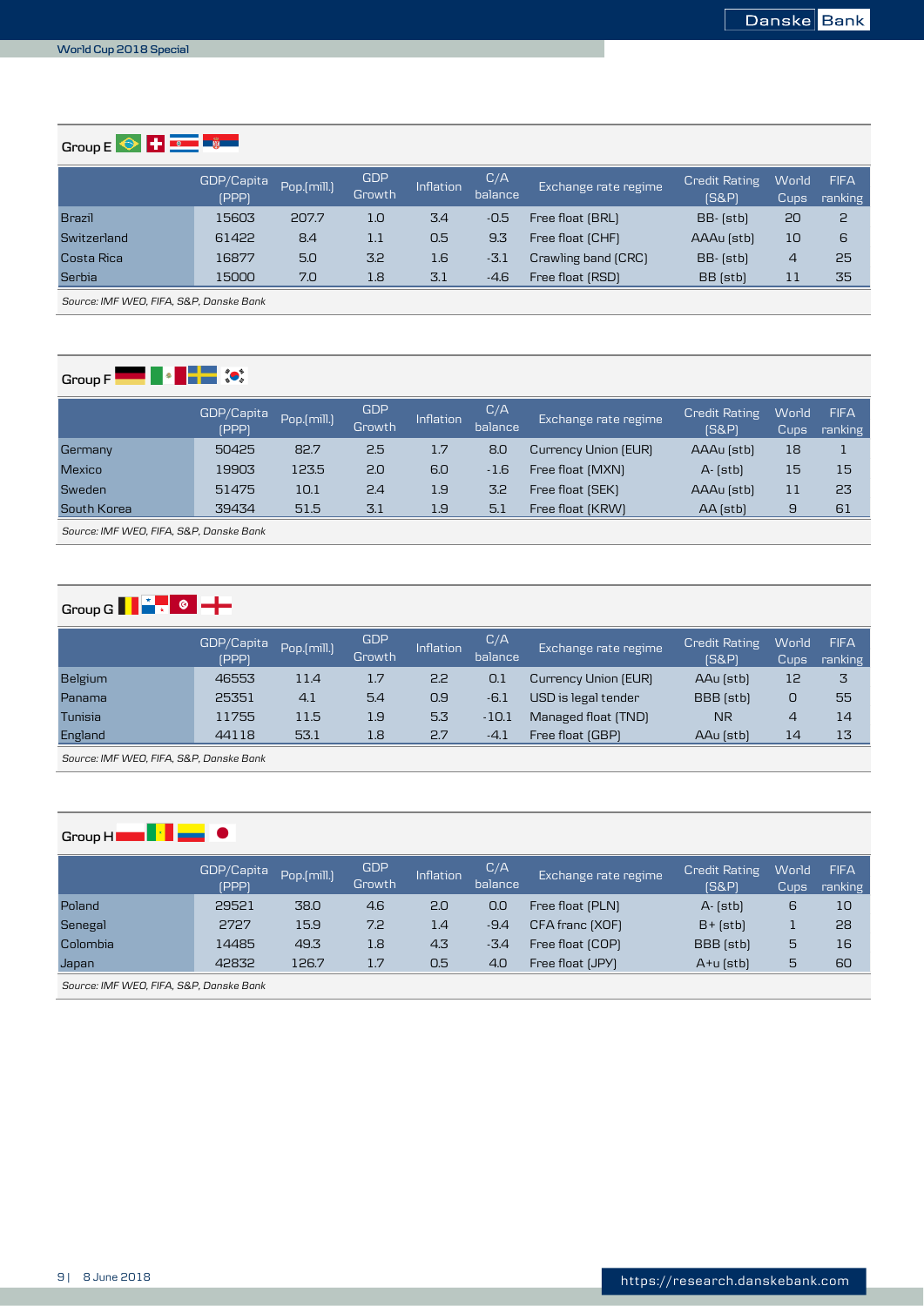**Group E**  $\bigcirc$  **H**  $\bigcirc$  **E** 

|               | GDP/Capita<br><b>(PPP)</b> | Pop.(mill.) | <b>GDP</b><br>Growth | Inflation | C/A<br>balance | Exchange rate regime | <b>Credit Rating</b><br>[S&P] | <b>World</b><br>Cups | <b>FIFA</b><br>ranking |
|---------------|----------------------------|-------------|----------------------|-----------|----------------|----------------------|-------------------------------|----------------------|------------------------|
| <b>Brazil</b> | 15603                      | 207.7       | 1.0                  | 3.4       | $-0.5$         | Free float (BRL)     | BB- (stb)                     | 20                   | 2                      |
| Switzerland   | 61422                      | 8.4         | 1.1                  | 0.5       | 9.3            | Free float (CHF)     | AAAu (stb)                    | 10                   | 6                      |
| Costa Rica    | 16877                      | 5.0         | 3.2                  | 1.6       | $-3.1$         | Crawling band (CRC)  | BB- (stb)                     | $\overline{4}$       | 25                     |
| Serbia        | 15000                      | 7.0         | 1.8                  | 3.1       | $-4.6$         | Free float (RSD)     | BB (stb)                      | 11                   | 35                     |

*Source: IMF WEO, FIFA, S&P, Danske Bank*

# **Group F F F F F (0)**

|               | GDP/Capita<br><b>(PPP)</b> | Pop.(mill.) | GDP<br>Growth | Inflation | C/A<br>balance | Exchange rate regime | <b>Credit Rating</b><br><b>IS&amp;PI</b> | World<br><b>Cups</b> | <b>FIFA</b><br>ranking |
|---------------|----------------------------|-------------|---------------|-----------|----------------|----------------------|------------------------------------------|----------------------|------------------------|
| Germany       | 50425                      | 82.7        | 2.5           | 1.7       | 8.0            | Currency Union (EUR) | AAAu (stb)                               | 18                   |                        |
| <b>Mexico</b> | 19903                      | 123.5       | 2.0           | 6.0       | $-1.6$         | Free float (MXN)     | A- (stb)                                 | 15                   | 15                     |
| Sweden        | 51475                      | 10.1        | 2.4           | 1.9       | 3.2            | Free float (SEK)     | AAAu (stb)                               | 11                   | 23                     |
| South Korea   | 39434                      | 51.5        | 3.1           | 1.9       | 5.1            | Free float (KRW)     | AA (stb)                                 | 9                    | 61                     |

*Source: IMF WEO, FIFA, S&P, Danske Bank*

# **Group G**  $\begin{array}{|c|c|c|c|}\hline \textbf{A} & \textbf{B} & \textbf{C} & \textbf{A} & \textbf{B} \\ \hline \end{array}$

|         | GDP/Capita<br><b>(PPP)</b> | Pop.(mill.) | <b>GDP</b><br>Growth | Inflation | C/A<br>balance | Exchange rate regime | <b>Credit Rating</b><br><b>IS&amp;PI</b> | World<br>Cups | <b>FIFA</b><br>ranking |
|---------|----------------------------|-------------|----------------------|-----------|----------------|----------------------|------------------------------------------|---------------|------------------------|
| Belgium | 46553                      | 11.4        | 1.7                  | 2.2       | 0.1            | Currency Union (EUR) | AAu (stb)                                | 12            | 3                      |
| Panama  | 25351                      | 4.1         | 5.4                  | 0.9       | $-6.1$         | USD is legal tender  | <b>BBB</b> (stb)                         | 0             | 55                     |
| Tunisia | 11755                      | 11.5        | 1.9                  | 5.3       | $-10.1$        | Managed float (TND)  | <b>NR</b>                                | 4             | 14                     |
| England | 44118                      | 53.1        | 1.8                  | 2.7       | $-4.1$         | Free float (GBP)     | AAu (stb)                                | 14            | 13                     |

*Source: IMF WEO, FIFA, S&P, Danske Bank*

# **Group HEXERCITY**

|                   | GDP/Capita<br><b>(PPP)</b> | Pop.(mill.) | GDP<br>Growth: | Inflation | C/A<br>balance | Exchange rate regime | <b>Credit Rating</b><br>$[S\&P]$ | World<br>Cups | <b>FIFA</b><br>ranking |
|-------------------|----------------------------|-------------|----------------|-----------|----------------|----------------------|----------------------------------|---------------|------------------------|
| Poland            | 29521                      | 38.0        | 4.6            | 2.0       | 0.0            | Free float (PLN)     | $A - [stb]$                      | 6             | 10                     |
| Senegal           | 2727                       | 15.9        | 7.2            | 1.4       | $-9.4$         | CFA franc (XOF)      | $B + [stb]$                      |               | 28                     |
| Colombia          | 14485                      | 49.3        | 1.8            | 4.3       | $-3.4$         | Free float (COP)     | BBB (stb)                        | 5             | 16                     |
| Japan             | 42832                      | 126.7       | 1.7            | 0.5       | 4.0            | Free float (JPY)     | $A+U$ (stb)                      | 5             | 60                     |
| $C = \frac{1}{2}$ |                            |             |                |           |                |                      |                                  |               |                        |

*Source: IMF WEO, FIFA, S&P, Danske Bank*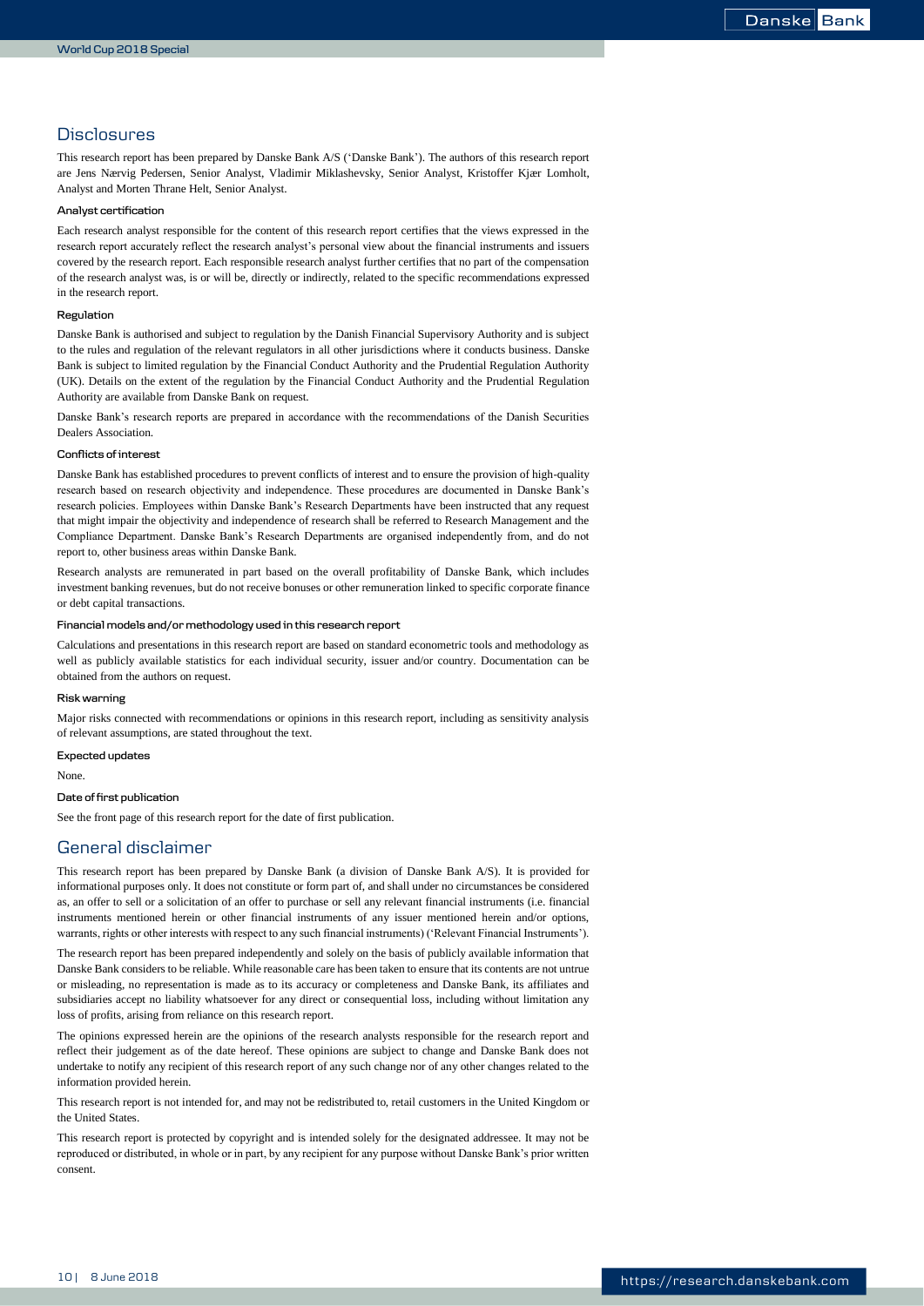### **Disclosures**

This research report has been prepared by Danske Bank A/S ('Danske Bank'). The authors of this research report are Jens Nærvig Pedersen, Senior Analyst, Vladimir Miklashevsky, Senior Analyst, Kristoffer Kjær Lomholt, Analyst and Morten Thrane Helt, Senior Analyst.

#### **Analyst certification**

Each research analyst responsible for the content of this research report certifies that the views expressed in the research report accurately reflect the research analyst's personal view about the financial instruments and issuers covered by the research report. Each responsible research analyst further certifies that no part of the compensation of the research analyst was, is or will be, directly or indirectly, related to the specific recommendations expressed in the research report.

#### **Regulation**

Danske Bank is authorised and subject to regulation by the Danish Financial Supervisory Authority and is subject to the rules and regulation of the relevant regulators in all other jurisdictions where it conducts business. Danske Bank is subject to limited regulation by the Financial Conduct Authority and the Prudential Regulation Authority (UK). Details on the extent of the regulation by the Financial Conduct Authority and the Prudential Regulation Authority are available from Danske Bank on request.

Danske Bank's research reports are prepared in accordance with the recommendations of the Danish Securities Dealers Association.

#### **Conflicts of interest**

Danske Bank has established procedures to prevent conflicts of interest and to ensure the provision of high-quality research based on research objectivity and independence. These procedures are documented in Danske Bank's research policies. Employees within Danske Bank's Research Departments have been instructed that any request that might impair the objectivity and independence of research shall be referred to Research Management and the Compliance Department. Danske Bank's Research Departments are organised independently from, and do not report to, other business areas within Danske Bank.

Research analysts are remunerated in part based on the overall profitability of Danske Bank, which includes investment banking revenues, but do not receive bonuses or other remuneration linked to specific corporate finance or debt capital transactions.

#### **Financial models and/or methodology used in this research report**

Calculations and presentations in this research report are based on standard econometric tools and methodology as well as publicly available statistics for each individual security, issuer and/or country. Documentation can be obtained from the authors on request.

#### **Risk warning**

Major risks connected with recommendations or opinions in this research report, including as sensitivity analysis of relevant assumptions, are stated throughout the text.

#### **Expected updates**

None.

#### **Date of first publication**

See the front page of this research report for the date of first publication.

### General disclaimer

This research report has been prepared by Danske Bank (a division of Danske Bank A/S). It is provided for informational purposes only. It does not constitute or form part of, and shall under no circumstances be considered as, an offer to sell or a solicitation of an offer to purchase or sell any relevant financial instruments (i.e. financial instruments mentioned herein or other financial instruments of any issuer mentioned herein and/or options, warrants, rights or other interests with respect to any such financial instruments) ('Relevant Financial Instruments').

The research report has been prepared independently and solely on the basis of publicly available information that Danske Bank considers to be reliable. While reasonable care has been taken to ensure that its contents are not untrue or misleading, no representation is made as to its accuracy or completeness and Danske Bank, its affiliates and subsidiaries accept no liability whatsoever for any direct or consequential loss, including without limitation any loss of profits, arising from reliance on this research report.

The opinions expressed herein are the opinions of the research analysts responsible for the research report and reflect their judgement as of the date hereof. These opinions are subject to change and Danske Bank does not undertake to notify any recipient of this research report of any such change nor of any other changes related to the information provided herein.

This research report is not intended for, and may not be redistributed to, retail customers in the United Kingdom or the United States

This research report is protected by copyright and is intended solely for the designated addressee. It may not be reproduced or distributed, in whole or in part, by any recipient for any purpose without Danske Bank's prior written consent.